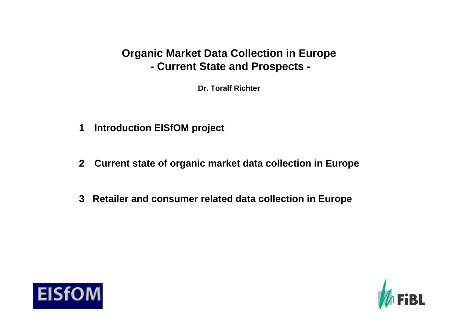# **Organic Market Data Collection in Europe - Current State and Prospects -**

**Dr. Toralf Richter**

- **1Introduction EISfOM project**
- **2 Current state of organic market data collection in Europe**
- **3 Retailer and consumer related data collection in Europe**



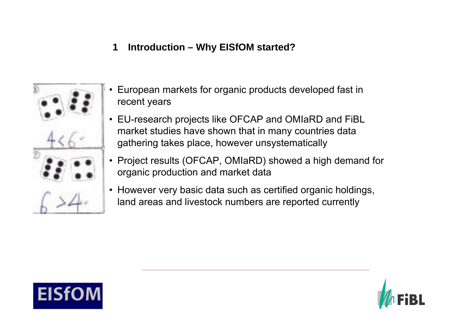#### **1Introduction – Why EISfOM started?**



- • European markets for organic products developed fast in recent years
- EU-research projects like OFCAP and OMIaRD and FiBL market studies have shown that in many countries data gathering takes place, however unsystematically
- $\bullet$  Project results [\(OFCAP, OMIaRD\) showed](http://images.google.de/imgres?imgurl=http://dict.tu-chemnitz.de/lists/anna/zahlen.jpg&imgrefurl=http://dict.tu-chemnitz.de/lists/100zahlen.html&h=478&w=525&sz=35&tbnid=ohCMxf_OZEIJ:&tbnh=117&tbnw=129&start=10&prev=/images%3Fq%3DZahlen%26hl%3Dde%26lr%3D) a high demand for organic production and market data
- However very basic data such as certified organic holdings, land areas and livestock numbers are reported currently



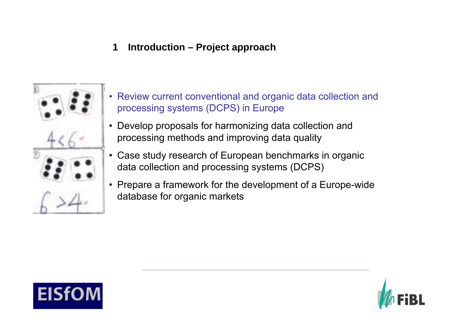#### **1Introduction – Project approach**



- • Review current conventional and organic data collection and processing [systems \(DCPS\) in Europe](http://images.google.de/imgres?imgurl=http://dict.tu-chemnitz.de/lists/anna/zahlen.jpg&imgrefurl=http://dict.tu-chemnitz.de/lists/100zahlen.html&h=478&w=525&sz=35&tbnid=ohCMxf_OZEIJ:&tbnh=117&tbnw=129&start=10&prev=/images%3Fq%3DZahlen%26hl%3Dde%26lr%3D)
- Develop proposals for harmonizing data collection and processing methods and improving data quality
- Case study research of European benchmarks in organic data collection and processing systems (DCPS)
- Prepare a framework for the development of a Europe-wide database for organic markets



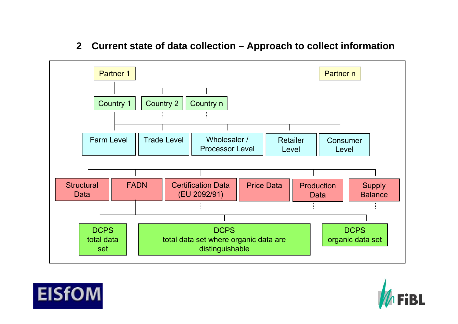#### **2Current state of data collection – Approach to collect information**





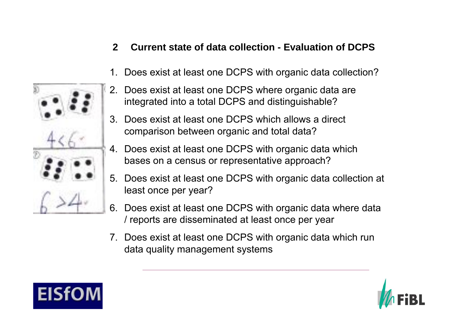#### **2Current state of data collection - Evaluation of DCPS**

- 1.Does exist at least one DCPS with organic data collection?
- 2. Does exist at least one DCPS where organic data are integrated into [a total DCPS and distinguishable?](http://images.google.de/imgres?imgurl=http://dict.tu-chemnitz.de/lists/anna/zahlen.jpg&imgrefurl=http://dict.tu-chemnitz.de/lists/100zahlen.html&h=478&w=525&sz=35&tbnid=ohCMxf_OZEIJ:&tbnh=117&tbnw=129&start=10&prev=/images%3Fq%3DZahlen%26hl%3Dde%26lr%3D)
- 3. Does exist at least one DCPS which allows a direct comparison between organic and total data?
- 4. Does exist at least one DCPS with organic data which bases on a census or representative approach?
- 5. Does exist at least one DCPS with organic data collection at least once per year?
- 6. Does exist at least one DCPS with organic data where data / reports are disseminated at least once per year
- 7. Does exist at least one DCPS with organic data which run data quality management systems



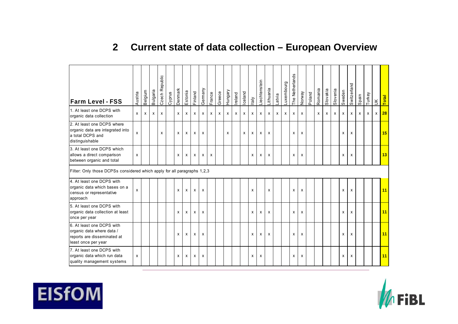## **2 Current state of data collection – European Overview**

| <b>Farm Level - FSS</b>                                                                                      | Austria | Belgium                   | Bulgaria | Czech Republic | Cyprus | Denmark | Estonia                   | Finland | Germany | France | Greece | Hungary | Ireland      | Iceland | ltaly | Liechtenstein | Lithuania                 | Latvia | Luxembourg | The Netherlands | Norway | Poland | Romania | Slovakia | Slovenia | Sweden | Switzerland | Spain | Turkey | $\leq$ | Total |
|--------------------------------------------------------------------------------------------------------------|---------|---------------------------|----------|----------------|--------|---------|---------------------------|---------|---------|--------|--------|---------|--------------|---------|-------|---------------|---------------------------|--------|------------|-----------------|--------|--------|---------|----------|----------|--------|-------------|-------|--------|--------|-------|
| 1. At least one DCPS with<br>organic data collection                                                         | x       | $\boldsymbol{\mathsf{x}}$ | X        | X              |        | x       | $\boldsymbol{\mathsf{x}}$ | х       | x       | X      | X      | X       | $\mathsf{x}$ | X       | x     | X             | $\mathsf{x}$              | X      | x          | X               | X      |        | X       | X        | x        | х      | х           | x     | x      | X      | 28    |
| 2. At least one DCPS where<br>organic data are integrated into<br>a total DCPS and<br>distinguishable        | x       |                           |          | $\mathsf{x}$   |        | x       | X                         | X       | X       |        |        | X       |              | X       | X     | X             | X                         |        |            | X               | X      |        |         |          |          | X      | X           |       |        |        | 15    |
| 3. At least one DCPS which<br>allows a direct comparison<br>between organic and total                        | x       |                           |          |                |        | x       | X                         | х       | x       | x      |        |         |              |         | х     | X             | X                         |        |            | X               | X      |        |         |          |          | х      | X           |       |        |        | 13    |
| Filter: Only those DCPSs considered which apply for all paragraphs 1,2,3                                     |         |                           |          |                |        |         |                           |         |         |        |        |         |              |         |       |               |                           |        |            |                 |        |        |         |          |          |        |             |       |        |        |       |
| 4. At least one DCPS with<br>organic data which bases on a<br>census or representative<br>approach           | X       |                           |          |                |        | X       | $\boldsymbol{\mathsf{x}}$ | X       | X       |        |        |         |              |         | X     |               | X                         |        |            | X               | x      |        |         |          |          | x      | X           |       |        |        | 11    |
| 5. At least one DCPS with<br>organic data collection at least<br>once per year                               |         |                           |          |                |        | x       | X                         | X       | x       |        |        |         |              |         | x     | x             | X                         |        |            | X               | x      |        |         |          |          | x      | X           |       |        |        | 11    |
| 6. At least one DCPS with<br>organic data where data /<br>reports are disseminated at<br>least once per year |         |                           |          |                |        | x       | X                         | X       | x       |        |        |         |              |         | x     | X             | $\boldsymbol{\mathsf{x}}$ |        |            | X               | X      |        |         |          |          | X      | X           |       |        |        | 11    |
| 7. At least one DCPS with<br>organic data which run data<br>quality management systems                       | x       |                           |          |                |        | x       | X                         | х       | x       |        |        |         |              |         | х     | X             |                           |        |            | X               | X      |        |         |          |          | х      | X           |       |        |        | 11    |



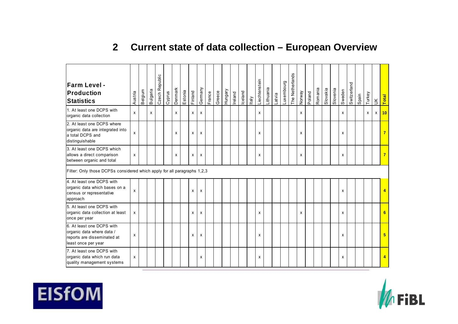## **2 Current state of data collection – European Overview**

| <b>Farm Level -</b><br>Production<br><b>Statistics</b>                                                       | Austria | Belgium | Bulgaria | Czech Republic | Cyprus | Denmark | Estonia | Finland                   | Gemany | France | Greece | Hungary | Ireland | Iceland | Italy | Liechtenstein | Lithuania | Latvia | Luxembourg | The Netherlands | Norway | Poland | Romania | Slovakia | Slovenia | Sweden | Switzerland | Spain | Turkey | $\leq$ | Total |
|--------------------------------------------------------------------------------------------------------------|---------|---------|----------|----------------|--------|---------|---------|---------------------------|--------|--------|--------|---------|---------|---------|-------|---------------|-----------|--------|------------|-----------------|--------|--------|---------|----------|----------|--------|-------------|-------|--------|--------|-------|
| 1. At least one DCPS with<br>organic data collection                                                         | X       |         | X        |                |        | X       |         | X                         | x      |        |        |         |         |         |       | X             |           |        |            |                 | X      |        |         |          |          | X      |             |       | X      | X      | 10    |
| 2. At least one DCPS where<br>organic data are integrated into<br>a total DCPS and<br>distinguishable        | х       |         |          |                |        | X       |         | X                         | х      |        |        |         |         |         |       | X             |           |        |            |                 | X      |        |         |          |          | х      |             |       |        |        |       |
| 3. At least one DCPS which<br>allows a direct comparison<br>between organic and total                        | x       |         |          |                |        | X       |         | x                         | х      |        |        |         |         |         |       | X             |           |        |            |                 | X      |        |         |          |          | x      |             |       |        |        |       |
| Filter: Only those DCPSs considered which apply for all paragraphs 1,2,3                                     |         |         |          |                |        |         |         |                           |        |        |        |         |         |         |       |               |           |        |            |                 |        |        |         |          |          |        |             |       |        |        |       |
| 4. At least one DCPS with<br>organic data which bases on a<br>census or representative<br>approach           | x       |         |          |                |        |         |         | X                         | X      |        |        |         |         |         |       |               |           |        |            |                 |        |        |         |          |          | x      |             |       |        |        |       |
| 5. At least one DCPS with<br>organic data collection at least<br>once per year                               | X       |         |          |                |        |         |         | $\boldsymbol{\mathsf{x}}$ | x      |        |        |         |         |         |       | X             |           |        |            |                 | X      |        |         |          |          | x      |             |       |        |        | 6     |
| 6. At least one DCPS with<br>organic data where data /<br>reports are disseminated at<br>least once per year | х       |         |          |                |        |         |         | X                         | х      |        |        |         |         |         |       | X             |           |        |            |                 |        |        |         |          |          | х      |             |       |        |        | 5.    |
| 7. At least one DCPS with<br>organic data which run data<br>quality management systems                       | X       |         |          |                |        |         |         |                           | X      |        |        |         |         |         |       | X             |           |        |            |                 |        |        |         |          |          | х      |             |       |        |        |       |



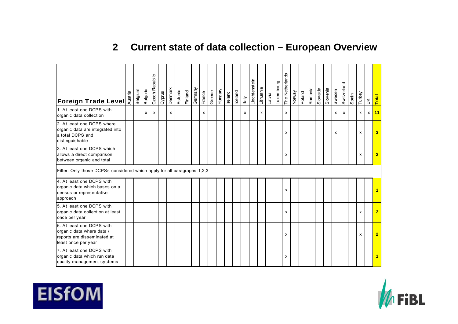## **2 Current state of data collection – European Overview**

| E<br>Foreign Trade Level                                                                                     | Belgium | <b>Bulgaria</b> | Czech Republic | Cyprus | Denmark | Estonia | Finland | Germany | France | Greece | Hungary | Ireland | Iceland | Italy                     | Liechtenstein | Lithuania | Latvia | Luxembourg | The Netherlands | Vewon | Poland | Romania | Slovakia | Slovenia | Sweden | Switzerland  | Spain | Turkey       | $\leq$ | Total                   |
|--------------------------------------------------------------------------------------------------------------|---------|-----------------|----------------|--------|---------|---------|---------|---------|--------|--------|---------|---------|---------|---------------------------|---------------|-----------|--------|------------|-----------------|-------|--------|---------|----------|----------|--------|--------------|-------|--------------|--------|-------------------------|
| 1. At least one DCPS with<br>organic data collection                                                         |         | x               | X              |        | X       |         |         |         | X      |        |         |         |         | $\boldsymbol{\mathsf{x}}$ |               | X         |        |            | x               |       |        |         |          |          | X      | $\mathsf{x}$ |       | $\mathsf{x}$ | X      | $\sqrt{11}$             |
| 2. At least one DCPS where<br>organic data are integrated into<br>a total DCPS and<br>distinguishable        |         |                 |                |        |         |         |         |         |        |        |         |         |         |                           |               |           |        |            | x               |       |        |         |          |          | X      |              |       | X            |        | 3                       |
| 3. At least one DCPS which<br>allows a direct comparison<br>between organic and total                        |         |                 |                |        |         |         |         |         |        |        |         |         |         |                           |               |           |        |            | x               |       |        |         |          |          |        |              |       | x            |        | $\overline{2}$          |
| Filter: Only those DCPSs considered which apply for all paragraphs 1,2,3                                     |         |                 |                |        |         |         |         |         |        |        |         |         |         |                           |               |           |        |            |                 |       |        |         |          |          |        |              |       |              |        |                         |
| 4. At least one DCPS with<br>organic data which bases on a<br>census or representative<br>approach           |         |                 |                |        |         |         |         |         |        |        |         |         |         |                           |               |           |        |            | X               |       |        |         |          |          |        |              |       |              |        | 1                       |
| 5. At least one DCPS with<br>organic data collection at least<br>once per year                               |         |                 |                |        |         |         |         |         |        |        |         |         |         |                           |               |           |        |            | x               |       |        |         |          |          |        |              |       | X            |        | $\overline{2}$          |
| 6. At least one DCPS with<br>organic data where data /<br>reports are disseminated at<br>least once per year |         |                 |                |        |         |         |         |         |        |        |         |         |         |                           |               |           |        |            | x               |       |        |         |          |          |        |              |       | x            |        | $\overline{2}$          |
| 7. At least one DCPS with<br>organic data which run data<br>quality management systems                       |         |                 |                |        |         |         |         |         |        |        |         |         |         |                           |               |           |        |            | x               |       |        |         |          |          |        |              |       |              |        | $\overline{\mathbf{1}}$ |

# **EISfOM**

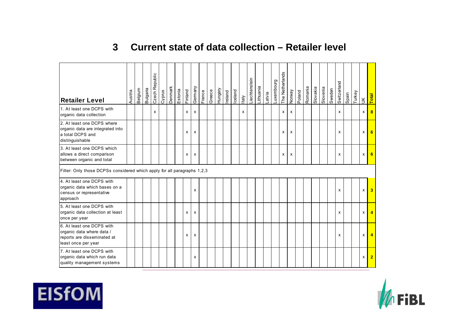#### **3Current state of data collection – Retailer level**

| <b>Retailer Level</b>                                                                                        | Austria | Belgium | <b>Bulgaria</b> | Czech Republic | Cyprus | Denmark | Estonia | Finland | Germany                   | France | Greece | Hungary | Ireland | Iceland | Italy | Liechtenstein | Lithuania | Latvia | Luxembourg | The Netherlands | Norway | Poland | Romania | Slovakia | Slovenia | Sweden | Switzerland | Spain | Turkey | $\leq$ | Total                   |
|--------------------------------------------------------------------------------------------------------------|---------|---------|-----------------|----------------|--------|---------|---------|---------|---------------------------|--------|--------|---------|---------|---------|-------|---------------|-----------|--------|------------|-----------------|--------|--------|---------|----------|----------|--------|-------------|-------|--------|--------|-------------------------|
| 1. At least one DCPS with<br>organic data collection                                                         |         |         |                 | x              |        |         |         | X       | х                         |        |        |         |         |         | x     |               |           |        |            | x               | X      |        |         |          |          |        | X           |       |        | X      | 8                       |
| 2. At least one DCPS where<br>organic data are integrated into<br>a total DCPS and<br>distinguishable        |         |         |                 |                |        |         |         | x       | х                         |        |        |         |         |         |       |               |           |        |            | x               | х      |        |         |          |          |        | x           |       |        | x      | 6                       |
| 3. At least one DCPS which<br>allows a direct comparison<br>between organic and total                        |         |         |                 |                |        |         |         | x       | х                         |        |        |         |         |         |       |               |           |        |            | x               | х      |        |         |          |          |        | x           |       |        | X      | 6                       |
| Filter: Only those DCPSs considered which apply for all paragraphs 1,2,3                                     |         |         |                 |                |        |         |         |         |                           |        |        |         |         |         |       |               |           |        |            |                 |        |        |         |          |          |        |             |       |        |        |                         |
| 4. At least one DCPS with<br>organic data which bases on a<br>census or representative<br>approach           |         |         |                 |                |        |         |         |         | x                         |        |        |         |         |         |       |               |           |        |            |                 |        |        |         |          |          |        | X           |       |        | X      | $\overline{\mathbf{3}}$ |
| 5. At least one DCPS with<br>organic data collection at least<br>once per year                               |         |         |                 |                |        |         |         | x       | х                         |        |        |         |         |         |       |               |           |        |            |                 |        |        |         |          |          |        | x           |       |        | x      | $\blacktriangle$        |
| 6. At least one DCPS with<br>organic data where data /<br>reports are disseminated at<br>least once per year |         |         |                 |                |        |         |         | X       | $\boldsymbol{\mathsf{x}}$ |        |        |         |         |         |       |               |           |        |            |                 |        |        |         |          |          |        | X           |       |        | x      | $\blacktriangle$        |
| 7. At least one DCPS with<br>organic data which run data<br>quality management systems                       |         |         |                 |                |        |         |         |         | x                         |        |        |         |         |         |       |               |           |        |            |                 |        |        |         |          |          |        |             |       |        | х      | $\overline{2}$          |



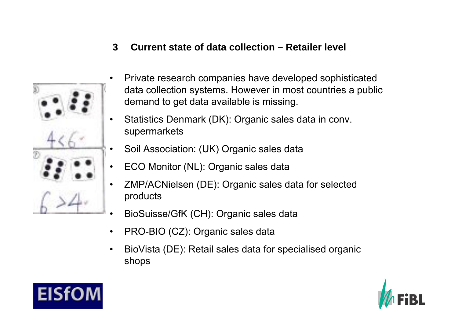**3Current state of data collection – Retailer level**



•

•

- Private research companies have developed sophisticated data collection systems. However in most countries a public demand to get data available is missing.
- • Statistics Denmark (DK): Organic sales data in conv. supermarkets
- •Soil Association: (UK) Organic sales data
- ECO Monitor (NL): Organic sales data
- • ZMP/ACNielsen (DE): Organic sales data for selected products
- •[BioSuisse/GfK \(CH\): Organic sales](http://images.google.de/imgres?imgurl=http://dict.tu-chemnitz.de/lists/anna/zahlen.jpg&imgrefurl=http://dict.tu-chemnitz.de/lists/100zahlen.html&h=478&w=525&sz=35&tbnid=ohCMxf_OZEIJ:&tbnh=117&tbnw=129&start=10&prev=/images%3Fq%3DZahlen%26hl%3Dde%26lr%3D) data
- •PRO-BIO (CZ): Organic sales data
- • BioVista (DE): Retail sales data for specialised organic shops



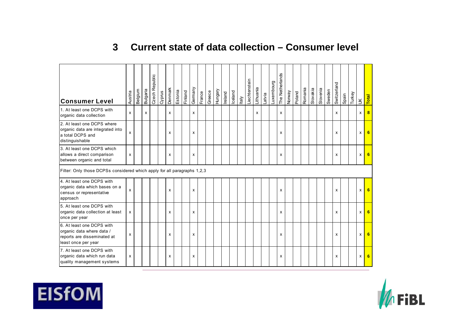#### **3Current state of data collection – Consumer level**

| <b>Consumer Level</b>                                                                                        | Austria | Belgium | Bulgaria | Czech Republic | Cyprus | Denmark                   | Estonia | Finland | Germany | France | Greece | Hungary | Ireland | Iceland | Italy | -iechtenstein | Lithuania | Latvia | Luxembourg | The Netherlands | Norway | Poland | Romania | Slovakia | Slovenia | Sweden | Switzerland | Spain | Turkey | $\leq$ | Total |
|--------------------------------------------------------------------------------------------------------------|---------|---------|----------|----------------|--------|---------------------------|---------|---------|---------|--------|--------|---------|---------|---------|-------|---------------|-----------|--------|------------|-----------------|--------|--------|---------|----------|----------|--------|-------------|-------|--------|--------|-------|
| 1. At least one DCPS with<br>organic data collection                                                         | X       |         | X        |                |        | $\boldsymbol{\mathsf{x}}$ |         |         | x       |        |        |         |         |         |       |               | x         |        |            | X               |        |        |         |          |          |        | X           |       |        | x      | 8     |
| 2. At least one DCPS where<br>organic data are integrated into<br>a total DCPS and<br>distinguishable        | x       |         |          |                |        | x                         |         |         | x       |        |        |         |         |         |       |               |           |        |            | x               |        |        |         |          |          |        | x           |       |        | X      |       |
| 3. At least one DCPS which<br>allows a direct comparison<br>between organic and total                        | X       |         |          |                |        | x                         |         |         | X       |        |        |         |         |         |       |               |           |        |            | X               |        |        |         |          |          |        | X           |       |        | X      | 6     |
| Filter: Only those DCPSs considered which apply for all paragraphs 1,2,3                                     |         |         |          |                |        |                           |         |         |         |        |        |         |         |         |       |               |           |        |            |                 |        |        |         |          |          |        |             |       |        |        |       |
| 4. At least one DCPS with<br>organic data which bases on a<br>census or representative<br>approach           | x       |         |          |                |        | x                         |         |         | X       |        |        |         |         |         |       |               |           |        |            | X               |        |        |         |          |          |        | x           |       |        | X      | 6     |
| 5. At least one DCPS with<br>organic data collection at least<br>once per year                               | x       |         |          |                |        | x                         |         |         | x       |        |        |         |         |         |       |               |           |        |            | x               |        |        |         |          |          |        | x           |       |        | X      | 6     |
| 6. At least one DCPS with<br>organic data where data /<br>reports are disseminated at<br>least once per year | x       |         |          |                |        | x                         |         |         | x       |        |        |         |         |         |       |               |           |        |            | X               |        |        |         |          |          |        | X           |       |        | X      | 6     |
| 7. At least one DCPS with<br>organic data which run data<br>quality management systems                       | x       |         |          |                |        | x                         |         |         | x       |        |        |         |         |         |       |               |           |        |            | X               |        |        |         |          |          |        | x           |       |        | X      | 6     |

# **EISfOM**

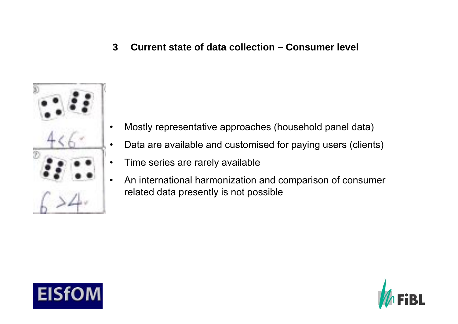**3Current state of data collection – Consumer level**



- •Mostly representative approaches (household panel data)
- •Data are available and customised for paying users (clients)
- •• Time series are rarely available
- • [An international harmonization](http://images.google.de/imgres?imgurl=http://dict.tu-chemnitz.de/lists/anna/zahlen.jpg&imgrefurl=http://dict.tu-chemnitz.de/lists/100zahlen.html&h=478&w=525&sz=35&tbnid=ohCMxf_OZEIJ:&tbnh=117&tbnw=129&start=10&prev=/images%3Fq%3DZahlen%26hl%3Dde%26lr%3D) and comparison of consumer related data presently is not possible



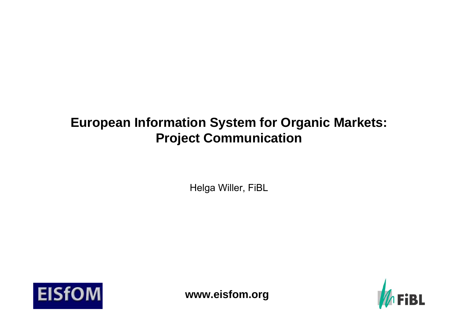# **European Information System for Organic Markets: Project Communication**

Helga Willer, FiBL





**www.eisfom.org**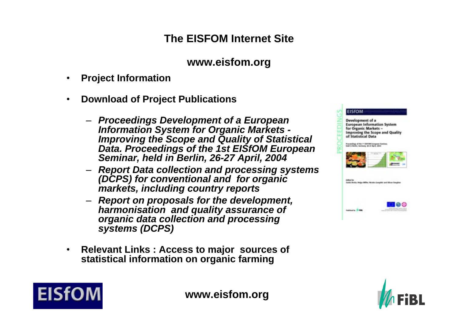# **The EISFOM Internet Site**

# **www.eisfom.org**

 $\bullet$ **Project Information**

**EISf** 

- $\bullet$  **Download of Project Publications**
	- *Proceedings Development of a European Information System for Organic Markets - Improving the Scope and Quality of Statistical Data. Proceedings of the 1st EISfOM European Seminar, held in Berlin, 26-27 April, 2004*
	- *Report Data collection and processing systems (DCPS) for conventional and for organic markets, including country reports*
	- *Report on proposals for the development, harmonisation and quality assurance of organic data collection and processing systems (DCPS)*
- $\bullet$  **Relevant Links : Access to major sources of statistical information on organic farming**





**www.eisfom.org**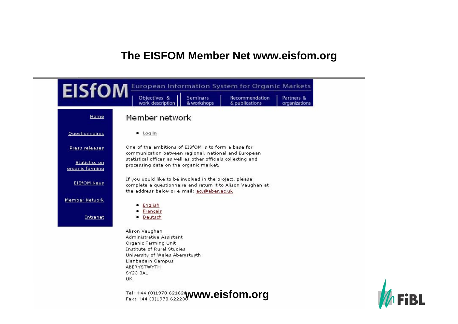# **The EISFOM Member Net www.eisfom.org**



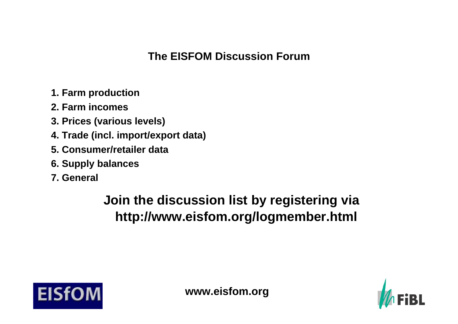# **The EISFOM Discussion Forum**

- **1. Farm production**
- **2. Farm incomes**
- **3. Prices (various levels)**
- **4. Trade (incl. import/export data)**
- **5. Consumer/retailer data**
- **6. Supply balances**
- **7. General**

# **Join the discussion list by registering via http://www.eisfom.org/logmember.html**



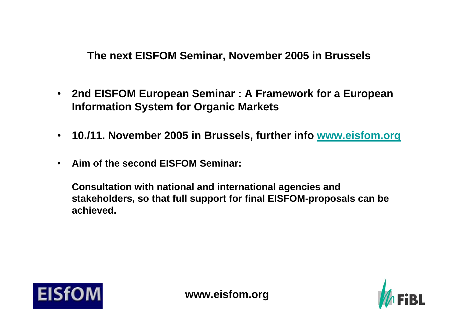**The next EISFOM Seminar, November 2005 in Brussels**

- • **2nd EISFOM European Seminar : A Framework for a European Information System for Organic Markets**
- **10./11. November 2005 in Brussels, further info [www.eisfom.org](http://www.eisfom.org/)**
- •**Aim of the second EISFOM Seminar:**

**Consultation with national and international agencies and stakeholders, so that full support for final EISFOM-proposals can be achieved.** 



**www.eisfom.org**

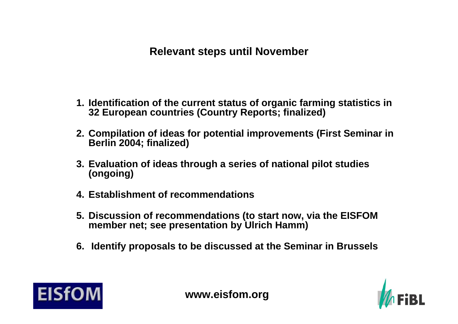# **Relevant steps until November**

- **1. Identification of the current status of organic farming statistics in 32 European countries (Country Reports; finalized)**
- **2. Compilation of ideas for potential improvements (First Seminar in Berlin 2004; finalized)**
- **3. Evaluation of ideas through a series of national pilot studies (ongoing)**
- **4. Establishment of recommendations**
- **5. Discussion of recommendations (to start now, via the EISFOM member net; see presentation by Ulrich Hamm)**
- **6. Identify proposals to be discussed at the Seminar in Brussels**



**www.eisfom.org**

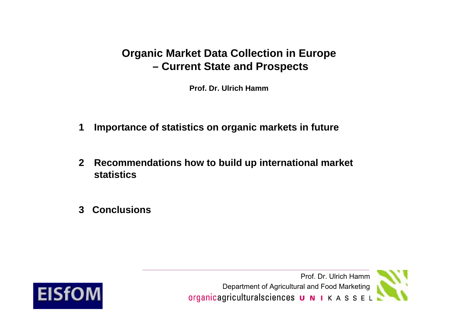# **Organic Market Data Collection in Europe Current State and Prospects**

**Prof. Dr. Ulrich Hamm**

- **1Importance of statistics on organic markets in future**
- **2 Recommendations how to build up international market statistics**
- **3 Conclusions**



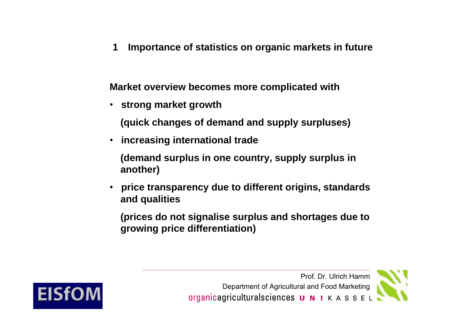**1Importance of statistics on organic markets in future**

**Market overview becomes more complicated with**

• **strong market growth** 

**(quick changes of demand and supply surpluses)**

• **increasing international trade**

**(demand surplus in one country, supply surplus in another)**

• **price transparency due to different origins, standards and qualities**

**(prices do not signalise surplus and shortages due to growing price differentiation)**



Prof. Dr. Ulrich Hamm Department of Agricultural and Food Marketingorganicagriculturalsciences **U N I** K A S S E L

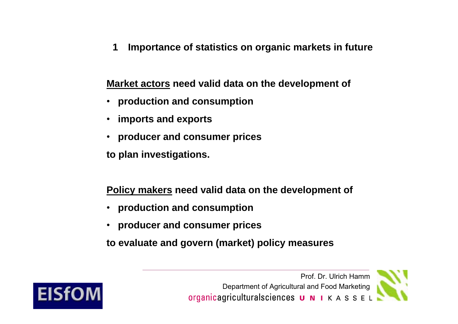**1Importance of statistics on organic markets in future**

**Market actors need valid data on the development of**

- **production and consumption**
- •**imports and exports**
- **producer and consumer prices**

**to plan investigations.**

**Policy makers need valid data on the development of**

- **production and consumption**
- •**producer and consumer prices**

**to evaluate and govern (market) policy measures**



Prof. Dr. Ulrich Hamm Department of Agricultural and Food Marketingorganicagriculturalsciences **U N I** K A S S E L

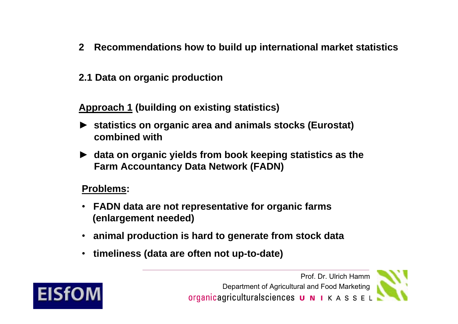- **2 Recommendations how to build up international market statistics**
- **2.1 Data on organic production**

**Approach 1 (building on existing statistics)**

- ► **statistics on organic area and animals stocks (Eurostat) combined with**
- ► **data on organic yields from book keeping statistics as the Farm Accountancy Data Network (FADN)**

# **Problems:**

- **FADN data are not representative for organic farms (enlargement needed)**
- **animal production is hard to generate from stock data**
- **timeliness (data are often not up-to-date)**



Prof. Dr. Ulrich Hamm Department of Agricultural and Food Marketingorganicagriculturalsciences  $\boldsymbol{u}$   $\boldsymbol{N}$   $\boldsymbol{i}$   $\boldsymbol{K}$   $\boldsymbol{A}$   $\boldsymbol{S}$   $\boldsymbol{S}$   $\boldsymbol{E}$   $\boldsymbol{L}$ 

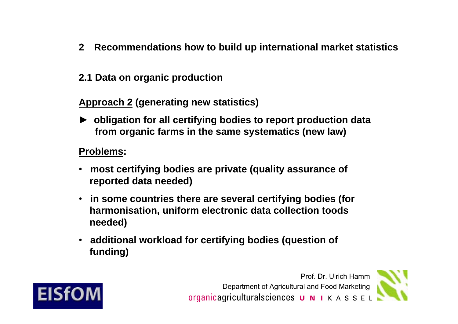- **2 Recommendations how to build up international market statistics**
- **2.1 Data on organic production**

**Approach 2 (generating new statistics)**

► **obligation for all certifying bodies to report production data from organic farms in the same systematics (new law)**

# **Problems:**

- • **most certifying bodies are private (quality assurance of reported data needed)**
- **in some countries there are several certifying bodies (for harmonisation, uniform electronic data collection toods needed)**
- **additional workload for certifying bodies (question of funding)**



Prof. Dr. Ulrich Hamm Department of Agricultural and Food Marketingorganicagriculturalsciences  $\boldsymbol{u}$   $\boldsymbol{N}$   $\boldsymbol{i}$   $\boldsymbol{K}$   $\boldsymbol{A}$   $\boldsymbol{S}$   $\boldsymbol{S}$   $\boldsymbol{E}$   $\boldsymbol{L}$ 

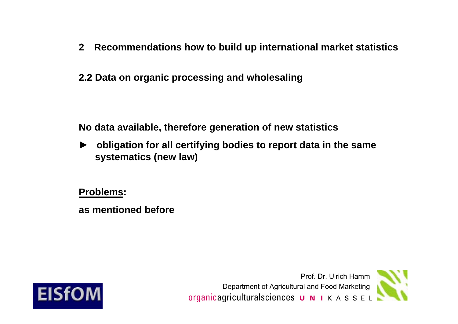**2.2 Data on organic processing and wholesaling**

**No data available, therefore generation of new statistics**

► **obligation for all certifying bodies to report data in the same systematics (new law)**

**Problems:** 

**as mentioned before**



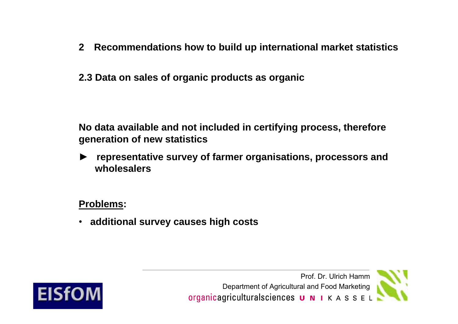- **2 Recommendations how to build up international market statistics**
- **2.3 Data on sales of organic products as organic**

**No data available and not included in certifying process, therefore generation of new statistics**

► **representative survey of farmer organisations, processors and wholesalers**

# **Problems:**

• **additional survey causes high costs**



Prof. Dr. Ulrich Hamm Department of Agricultural and Food Marketingorganicagriculturalsciences **U N I** K A S S E L

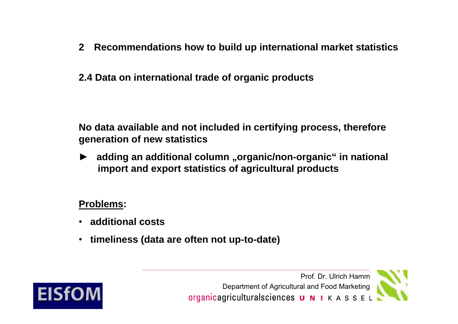# **2.4 Data on international trade of organic products**

**No data available and not included in certifying process, therefore generation of new statistics**

► **adding an additional column "organic/non-organic" in national import and export statistics of agricultural products**

# **Problems:**

- **additional costs**
- **timeliness (data are often not up-to-date)**



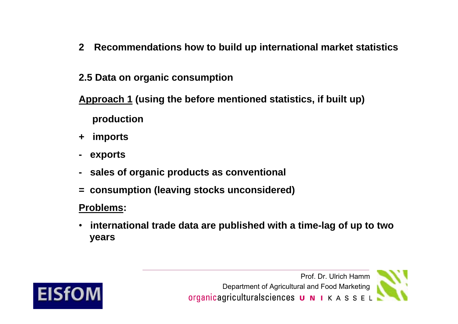# **2.5 Data on organic consumption**

**Approach 1 (using the before mentioned statistics, if built up)** 

**production**

- **+ imports**
- **exports**
- **sales of organic products as conventional**
- **= consumption (leaving stocks unconsidered)**

# **Problems:**

• **international trade data are published with a time-lag of up to two years**



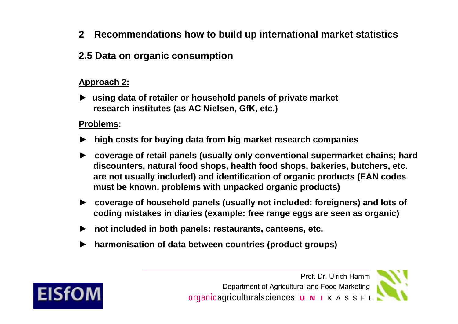# **2.5 Data on organic consumption**

### **Approach 2:**

► **using data of retailer or household panels of private market research institutes (as AC Nielsen, GfK, etc.)**

### **Problems:**

**EISfOM** 

- ►**high costs for buying data from big market research companies**
- ► **coverage of retail panels (usually only conventional supermarket chains; hard discounters, natural food shops, health food shops, bakeries, butchers, etc. are not usually included) and identification of organic products (EAN codes must be known, problems with unpacked organic products)**
- ► **coverage of household panels (usually not included: foreigners) and lots of coding mistakes in diaries (example: free range eggs are seen as organic)**
- ► **not included in both panels: restaurants, canteens, etc.**
- ►**harmonisation of data between countries (product groups)**

Prof. Dr. Ulrich Hamm Department of Agricultural and Food Marketingorganicagriculturalsciences **U N I** K A S S E L

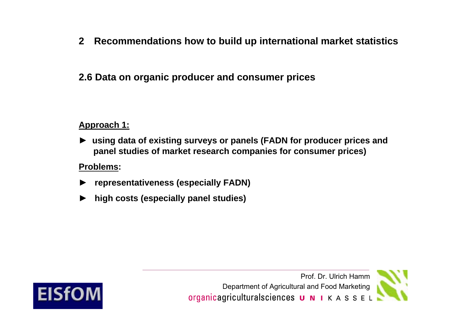# **2.6 Data on organic producer and consumer prices**

### **Approach 1:**

► **using data of existing surveys or panels (FADN for producer prices and panel studies of market research companies for consumer prices)**

### **Problems:**

- ►**representativeness (especially FADN)**
- ►**high costs (especially panel studies)**

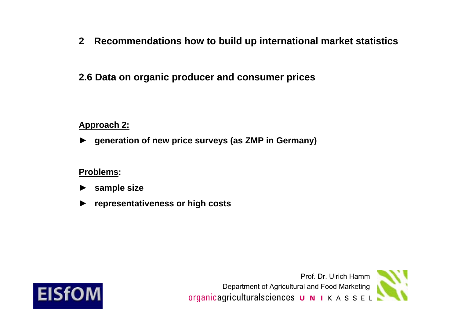# **2.6 Data on organic producer and consumer prices**

### **Approach 2:**

►**generation of new price surveys (as ZMP in Germany)**

#### **Problems:**

- ►**sample size**
- ►**representativeness or high costs**